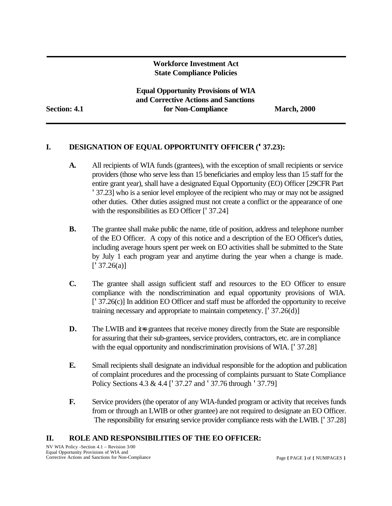#### **Workforce Investment Act State Compliance Policies**

**Equal Opportunity Provisions of WIA and Corrective Actions and Sanctions Section: 4.1 for Non-Compliance March, 2000**

#### **I. DESIGNATION OF EQUAL OPPORTUNITY OFFICER ('37.23):**

- **A.** All recipients of WIA funds (grantees), with the exception of small recipients or service providers (those who serve less than 15 beneficiaries and employ less than 15 staff for the entire grant year), shall have a designated Equal Opportunity (EO) Officer [29CFR Part '37.23] who is a senior level employee of the recipient who may or may not be assigned other duties. Other duties assigned must not create a conflict or the appearance of one with the responsibilities as EO Officer ['37.24]
- **B.** The grantee shall make public the name, title of position, address and telephone number of the EO Officer. A copy of this notice and a description of the EO Officer's duties, including average hours spent per week on EO activities shall be submitted to the State by July 1 each program year and anytime during the year when a change is made.  $[$ <sup>'</sup> 37.26(a)]
- **C.** The grantee shall assign sufficient staff and resources to the EO Officer to ensure compliance with the nondiscrimination and equal opportunity provisions of WIA. ['37.26(c)] In addition EO Officer and staff must be afforded the opportunity to receive training necessary and appropriate to maintain competency. ['37.26(d)]
- **D.** The LWIB and it is grantees that receive money directly from the State are responsible for assuring that their sub-grantees, service providers, contractors, etc. are in compliance with the equal opportunity and nondiscrimination provisions of WIA. ['37.28]
- **E.** Small recipients shall designate an individual responsible for the adoption and publication of complaint procedures and the processing of complaints pursuant to State Compliance Policy Sections 4.3 & 4.4 ['37.27 and '37.76 through '37.79]
- **F.** Service providers (the operator of any WIA-funded program or activity that receives funds from or through an LWIB or other grantee) are not required to designate an EO Officer. The responsibility for ensuring service provider compliance rests with the LWIB. ['37.28]

#### **II. ROLE AND RESPONSIBILITIES OF THE EO OFFICER:**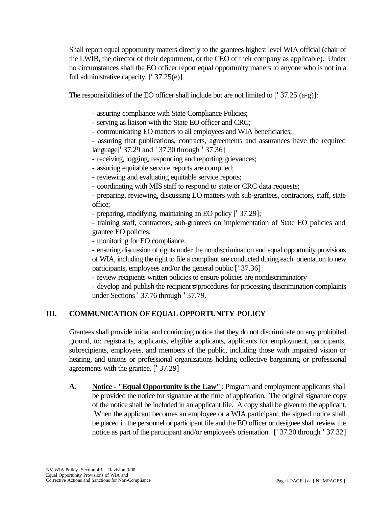Shall report equal opportunity matters directly to the grantees highest level WIA official (chair of the LWIB, the director of their department, or the CEO of their company as applicable). Under no circumstances shall the EO officer report equal opportunity matters to anyone who is not in a full administrative capacity. ['37.25(e)]

The responsibilities of the EO officer shall include but are not limited to  $[1, 37.25 (a-g)]$ :

- assuring compliance with State Compliance Policies;
- serving as liaison with the State EO officer and CRC;
- communicating EO matters to all employees and WIA beneficiaries;
- assuring that publications, contracts, agreements and assurances have the required language['37.29 and '37.30 through '37.36]
- receiving, logging, responding and reporting grievances;
- assuring equitable service reports are compiled;
- reviewing and evaluating equitable service reports;
- coordinating with MIS staff to respond to state or CRC data requests;
- preparing, reviewing, discussing EO matters with sub-grantees, contractors, staff, state office;
- preparing, modifying, maintaining an EO policy ['37.29];

- training staff, contractors, sub-grantees on implementation of State EO policies and grantee EO policies;

- monitoring for EO compliance.

- ensuring discussion of rights under the nondiscrimination and equal opportunity provisions of WIA, including the right to file a compliant are conducted during each orientation to new participants, employees and/or the general public ['37.36]

- review recipients written policies to ensure policies are nondiscriminatory

- develop and publish the recipient=s procedures for processing discrimination complaints under Sections '37.76 through '37.79.

# **III. COMMUNICATION OF EQUAL OPPORTUNITY POLICY**

Grantees shall provide initial and continuing notice that they do not discriminate on any prohibited ground, to: registrants, applicants, eligible applicants, applicants for employment, participants, subrecipients, employees, and members of the public, including those with impaired vision or hearing, and unions or professional organizations holding collective bargaining or professional agreements with the grantee. ['37.29]

**A. Notice - "Equal Opportunity is the Law"**: Program and employment applicants shall be provided the notice for signature at the time of application. The original signature copy of the notice shall be included in an applicant file. A copy shall be given to the applicant. When the applicant becomes an employee or a WIA participant, the signed notice shall be placed in the personnel or participant file and the EO officer or designee shall review the notice as part of the participant and/or employee's orientation. ['37.30 through '37.32]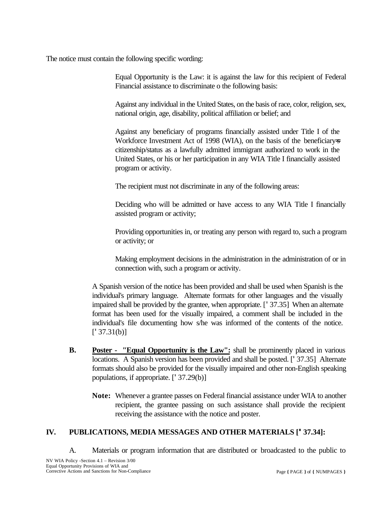The notice must contain the following specific wording:

Equal Opportunity is the Law: it is against the law for this recipient of Federal Financial assistance to discriminate o the following basis:

Against any individual in the United States, on the basis of race, color, religion, sex, national origin, age, disability, political affiliation or belief; and

Against any beneficiary of programs financially assisted under Title I of the Workforce Investment Act of 1998 (WIA), on the basis of the beneficiary=s citizenship/status as a lawfully admitted immigrant authorized to work in the United States, or his or her participation in any WIA Title I financially assisted program or activity.

The recipient must not discriminate in any of the following areas:

Deciding who will be admitted or have access to any WIA Title I financially assisted program or activity;

Providing opportunities in, or treating any person with regard to, such a program or activity; or

Making employment decisions in the administration in the administration of or in connection with, such a program or activity.

A Spanish version of the notice has been provided and shall be used when Spanish is the individual's primary language. Alternate formats for other languages and the visually impaired shall be provided by the grantee, when appropriate. ['37.35] When an alternate format has been used for the visually impaired, a comment shall be included in the individual's file documenting how s/he was informed of the contents of the notice.  $[$ <sup>'</sup> 37.31(b)]

- **B. Poster "Equal Opportunity is the Law":** shall be prominently placed in various locations. A Spanish version has been provided and shall be posted. ['37.35] Alternate formats should also be provided for the visually impaired and other non-English speaking populations, if appropriate. ['37.29(b)]
	- **Note:** Whenever a grantee passes on Federal financial assistance under WIA to another recipient, the grantee passing on such assistance shall provide the recipient receiving the assistance with the notice and poster.

## **IV. PUBLICATIONS, MEDIA MESSAGES AND OTHER MATERIALS ['37.34]:**

A. Materials or program information that are distributed or broadcasted to the public to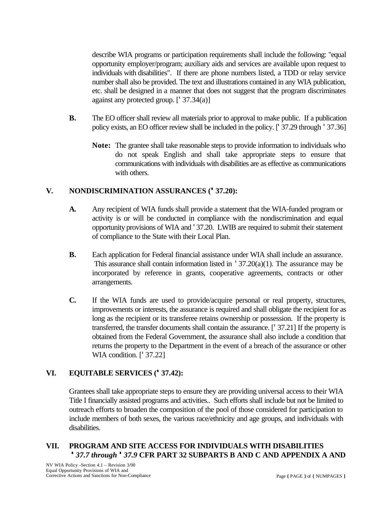describe WIA programs or participation requirements shall include the following: "equal opportunity employer/program; auxiliary aids and services are available upon request to individuals with disabilities". If there are phone numbers listed, a TDD or relay service number shall also be provided. The text and illustrations contained in any WIA publication, etc. shall be designed in a manner that does not suggest that the program discriminates against any protected group. ['37.34(a)]

- **B.** The EO officer shall review all materials prior to approval to make public. If a publication policy exists, an EO officer review shall be included in the policy. ['37.29 through '37.36]
	- **Note:** The grantee shall take reasonable steps to provide information to individuals who do not speak English and shall take appropriate steps to ensure that communications with individuals with disabilities are as effective as communications with others.

#### **V. NONDISCRIMINATION ASSURANCES ('37.20):**

- **A.** Any recipient of WIA funds shall provide a statement that the WIA-funded program or activity is or will be conducted in compliance with the nondiscrimination and equal opportunity provisions of WIA and '37.20. LWIB are required to submit their statement of compliance to the State with their Local Plan.
- **B.** Each application for Federal financial assistance under WIA shall include an assurance. This assurance shall contain information listed in  $\frac{1}{37.20(a)(1)}$ . The assurance may be incorporated by reference in grants, cooperative agreements, contracts or other arrangements.
- **C.** If the WIA funds are used to provide/acquire personal or real property, structures, improvements or interests, the assurance is required and shall obligate the recipient for as long as the recipient or its transferee retains ownership or possession. If the property is transferred, the transfer documents shall contain the assurance. ['37.21] If the property is obtained from the Federal Government, the assurance shall also include a condition that returns the property to the Department in the event of a breach of the assurance or other WIA condition. [<sup>'</sup> 37.22]

## **VI. EQUITABLE SERVICES ('37.42):**

Grantees shall take appropriate steps to ensure they are providing universal access to their WIA Title I financially assisted programs and activities.. Such efforts shall include but not be limited to outreach efforts to broaden the composition of the pool of those considered for participation to include members of both sexes, the various race/ethnicity and age groups, and individuals with disabilities.

## **VII. PROGRAM AND SITE ACCESS FOR INDIVIDUALS WITH DISABILITIES** *'37.7 through '37.9* **CFR PART 32 SUBPARTS B AND C AND APPENDIX A AND**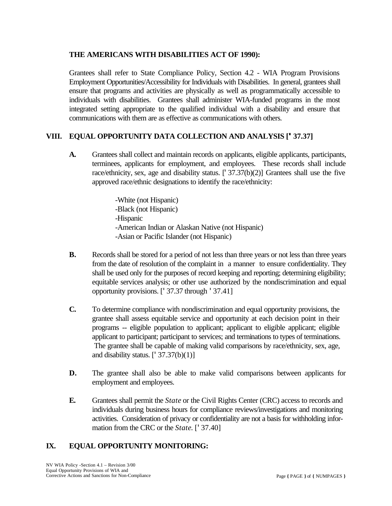#### **THE AMERICANS WITH DISABILITIES ACT OF 1990):**

Grantees shall refer to State Compliance Policy, Section 4.2 - WIA Program Provisions Employment Opportunities/Accessibility for Individuals with Disabilities. In general, grantees shall ensure that programs and activities are physically as well as programmatically accessible to individuals with disabilities. Grantees shall administer WIA-funded programs in the most integrated setting appropriate to the qualified individual with a disability and ensure that communications with them are as effective as communications with others.

## **VIII. EQUAL OPPORTUNITY DATA COLLECTION AND ANALYSIS ['37.37]**

**A.** Grantees shall collect and maintain records on applicants, eligible applicants, participants, terminees, applicants for employment, and employees. These records shall include race/ethnicity, sex, age and disability status. ['37.37(b)(2)] Grantees shall use the five approved race/ethnic designations to identify the race/ethnicity:

> -White (not Hispanic) -Black (not Hispanic) -Hispanic -American Indian or Alaskan Native (not Hispanic) -Asian or Pacific Islander (not Hispanic)

- **B.** Records shall be stored for a period of not less than three years or not less than three years from the date of resolution of the complaint in a manner to ensure confidentiality. They shall be used only for the purposes of record keeping and reporting; determining eligibility; equitable services analysis; or other use authorized by the nondiscrimination and equal opportunity provisions. ['37.37 through '37.41]
- **C.** To determine compliance with nondiscrimination and equal opportunity provisions, the grantee shall assess equitable service and opportunity at each decision point in their programs -- eligible population to applicant; applicant to eligible applicant; eligible applicant to participant; participant to services; and terminations to types of terminations. The grantee shall be capable of making valid comparisons by race/ethnicity, sex, age, and disability status.  $[137.37(b)(1)]$
- **D.** The grantee shall also be able to make valid comparisons between applicants for employment and employees.
- **E.** Grantees shall permit the *State* or the Civil Rights Center (CRC) access to records and individuals during business hours for compliance reviews/investigations and monitoring activities. Consideration of privacy or confidentiality are not a basis for withholding information from the CRC or the *State*. ['37.40]

## **IX. EQUAL OPPORTUNITY MONITORING:**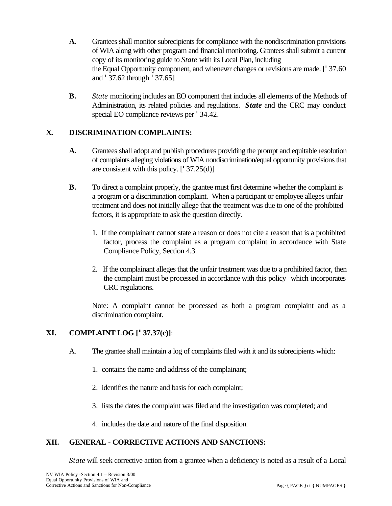- **A.** Grantees shall monitor subrecipients for compliance with the nondiscrimination provisions of WIA along with other program and financial monitoring. Grantees shall submit a current copy of its monitoring guide to *State* with its Local Plan, including the Equal Opportunity component, and whenever changes or revisions are made. ['37.60 and '37.62 through '37.65]
- **B.** *State* monitoring includes an EO component that includes all elements of the Methods of Administration, its related policies and regulations. *State* and the CRC may conduct special EO compliance reviews per '34.42.

## **X. DISCRIMINATION COMPLAINTS:**

- **A.** Grantees shall adopt and publish procedures providing the prompt and equitable resolution of complaints alleging violations of WIA nondiscrimination/equal opportunity provisions that are consistent with this policy.  $[1, 37.25(d)]$
- **B.** To direct a complaint properly, the grantee must first determine whether the complaint is a program or a discrimination complaint. When a participant or employee alleges unfair treatment and does not initially allege that the treatment was due to one of the prohibited factors, it is appropriate to ask the question directly.
	- 1. If the complainant cannot state a reason or does not cite a reason that is a prohibited factor, process the complaint as a program complaint in accordance with State Compliance Policy, Section 4.3.
	- 2. If the complainant alleges that the unfair treatment was due to a prohibited factor, then the complaint must be processed in accordance with this policy which incorporates CRC regulations.

Note: A complaint cannot be processed as both a program complaint and as a discrimination complaint.

## **XI. COMPLAINT LOG ['37.37(c)]**:

- A. The grantee shall maintain a log of complaints filed with it and its subrecipients which:
	- 1. contains the name and address of the complainant;
	- 2. identifies the nature and basis for each complaint;
	- 3. lists the dates the complaint was filed and the investigation was completed; and
	- 4. includes the date and nature of the final disposition.

#### **XII. GENERAL - CORRECTIVE ACTIONS AND SANCTIONS:**

*State* will seek corrective action from a grantee when a deficiency is noted as a result of a Local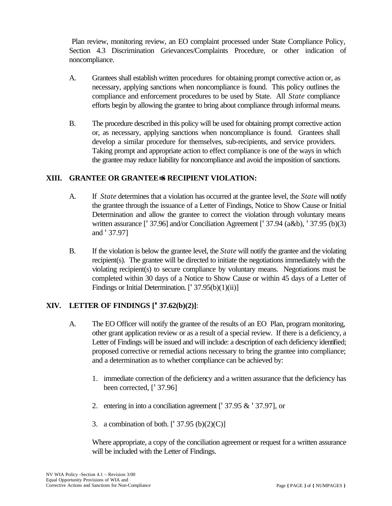Plan review, monitoring review, an EO complaint processed under State Compliance Policy, Section 4.3 Discrimination Grievances/Complaints Procedure, or other indication of noncompliance.

- A. Grantees shall establish written procedures for obtaining prompt corrective action or, as necessary, applying sanctions when noncompliance is found. This policy outlines the compliance and enforcement procedures to be used by State. All *State* compliance efforts begin by allowing the grantee to bring about compliance through informal means.
- B. The procedure described in this policy will be used for obtaining prompt corrective action or, as necessary, applying sanctions when noncompliance is found. Grantees shall develop a similar procedure for themselves, sub-recipients, and service providers. Taking prompt and appropriate action to effect compliance is one of the ways in which the grantee may reduce liability for noncompliance and avoid the imposition of sanctions.

## **XIII. GRANTEE OR GRANTEE=S RECIPIENT VIOLATION:**

- A. If *State* determines that a violation has occurred at the grantee level, the *State* will notify the grantee through the issuance of a Letter of Findings, Notice to Show Cause or Initial Determination and allow the grantee to correct the violation through voluntary means written assurance ['37.96] and/or Conciliation Agreement ['37.94 (a&b), '37.95 (b)(3) and '37.97]
- B. If the violation is below the grantee level, the *State* will notify the grantee and the violating recipient(s). The grantee will be directed to initiate the negotiations immediately with the violating recipient(s) to secure compliance by voluntary means. Negotiations must be completed within 30 days of a Notice to Show Cause or within 45 days of a Letter of Findings or Initial Determination. [' 37.95(b)(1)(ii)]

## **XIV. LETTER OF FINDINGS ['37.62(b)(2)]**:

- A. The EO Officer will notify the grantee of the results of an EO Plan, program monitoring, other grant application review or as a result of a special review. If there is a deficiency, a Letter of Findings will be issued and will include: a description of each deficiency identified; proposed corrective or remedial actions necessary to bring the grantee into compliance; and a determination as to whether compliance can be achieved by:
	- 1. immediate correction of the deficiency and a written assurance that the deficiency has been corrected, ['37.96]
	- 2. entering in into a conciliation agreement ['37.95 & '37.97], or
	- 3. a combination of both. ['37.95 (b)(2)(C)]

Where appropriate, a copy of the conciliation agreement or request for a written assurance will be included with the Letter of Findings.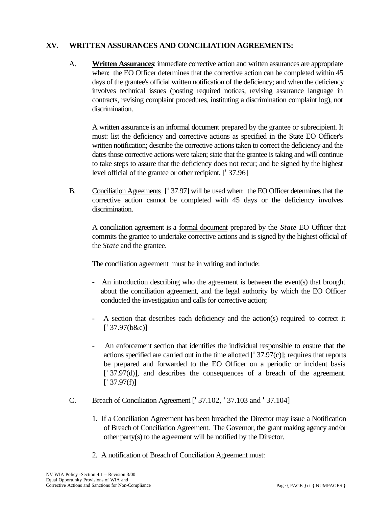#### **XV. WRITTEN ASSURANCES AND CONCILIATION AGREEMENTS:**

A. **Written Assurances**: immediate corrective action and written assurances are appropriate when: the EO Officer determines that the corrective action can be completed within 45 days of the grantee's official written notification of the deficiency; and when the deficiency involves technical issues (posting required notices, revising assurance language in contracts, revising complaint procedures, instituting a discrimination complaint log), not discrimination.

A written assurance is an informal document prepared by the grantee or subrecipient. It must: list the deficiency and corrective actions as specified in the State EO Officer's written notification; describe the corrective actions taken to correct the deficiency and the dates those corrective actions were taken; state that the grantee is taking and will continue to take steps to assure that the deficiency does not recur; and be signed by the highest level official of the grantee or other recipient. ['37.96]

B. Conciliation Agreements **[**'37.97] will be used when: the EO Officer determines that the corrective action cannot be completed with 45 days or the deficiency involves discrimination.

A conciliation agreement is a formal document prepared by the *State* EO Officer that commits the grantee to undertake corrective actions and is signed by the highest official of the *State* and the grantee.

The conciliation agreement must be in writing and include:

- An introduction describing who the agreement is between the event(s) that brought about the conciliation agreement, and the legal authority by which the EO Officer conducted the investigation and calls for corrective action;
- A section that describes each deficiency and the action(s) required to correct it  $[$ <sup>'</sup> 37.97(b&c)]
- An enforcement section that identifies the individual responsible to ensure that the actions specified are carried out in the time allotted  $[137.97(c)]$ ; requires that reports be prepared and forwarded to the EO Officer on a periodic or incident basis ['37.97(d)], and describes the consequences of a breach of the agreement.  $[$ <sup>'</sup> 37.97(f)]
- C. Breach of Conciliation Agreement ['37.102, '37.103 and '37.104]
	- 1. If a Conciliation Agreement has been breached the Director may issue a Notification of Breach of Conciliation Agreement. The Governor, the grant making agency and/or other party(s) to the agreement will be notified by the Director.
	- 2. A notification of Breach of Conciliation Agreement must: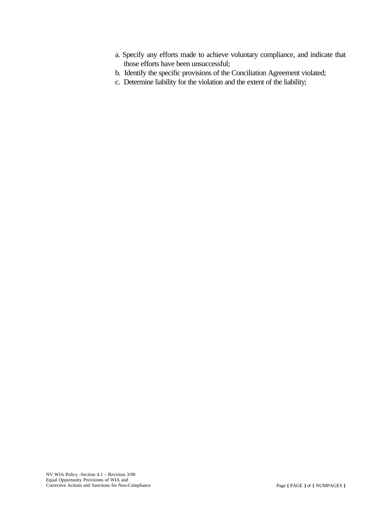- a. Specify any efforts made to achieve voluntary compliance, and indicate that those efforts have been unsuccessful;
- b. Identify the specific provisions of the Conciliation Agreement violated;
- c. Determine liability for the violation and the extent of the liability;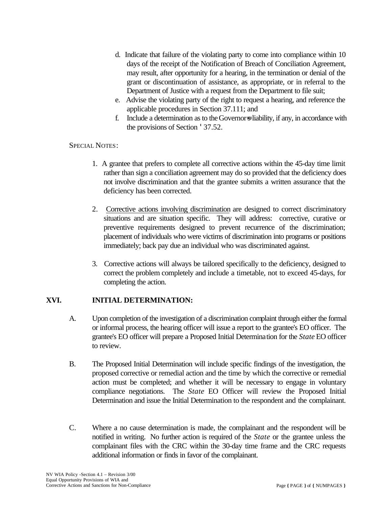- d. Indicate that failure of the violating party to come into compliance within 10 days of the receipt of the Notification of Breach of Conciliation Agreement, may result, after opportunity for a hearing, in the termination or denial of the grant or discontinuation of assistance, as appropriate, or in referral to the Department of Justice with a request from the Department to file suit;
- e. Advise the violating party of the right to request a hearing, and reference the applicable procedures in Section 37.111; and
- f. Include a determination as to the Governors liability, if any, in accordance with the provisions of Section '37.52.

#### SPECIAL NOTES:

- 1. A grantee that prefers to complete all corrective actions within the 45-day time limit rather than sign a conciliation agreement may do so provided that the deficiency does not involve discrimination and that the grantee submits a written assurance that the deficiency has been corrected.
- 2. Corrective actions involving discrimination are designed to correct discriminatory situations and are situation specific. They will address: corrective, curative or preventive requirements designed to prevent recurrence of the discrimination; placement of individuals who were victims of discrimination into programs or positions immediately; back pay due an individual who was discriminated against.
- 3. Corrective actions will always be tailored specifically to the deficiency, designed to correct the problem completely and include a timetable, not to exceed 45-days, for completing the action.

## **XVI. INITIAL DETERMINATION:**

- A. Upon completion of the investigation of a discrimination complaint through either the formal or informal process, the hearing officer will issue a report to the grantee's EO officer. The grantee's EO officer will prepare a Proposed Initial Determination for the *State* EO officer to review.
- B. The Proposed Initial Determination will include specific findings of the investigation, the proposed corrective or remedial action and the time by which the corrective or remedial action must be completed; and whether it will be necessary to engage in voluntary compliance negotiations. The *State* EO Officer will review the Proposed Initial Determination and issue the Initial Determination to the respondent and the complainant.
- C. Where a no cause determination is made, the complainant and the respondent will be notified in writing. No further action is required of the *State* or the grantee unless the complainant files with the CRC within the 30-day time frame and the CRC requests additional information or finds in favor of the complainant.